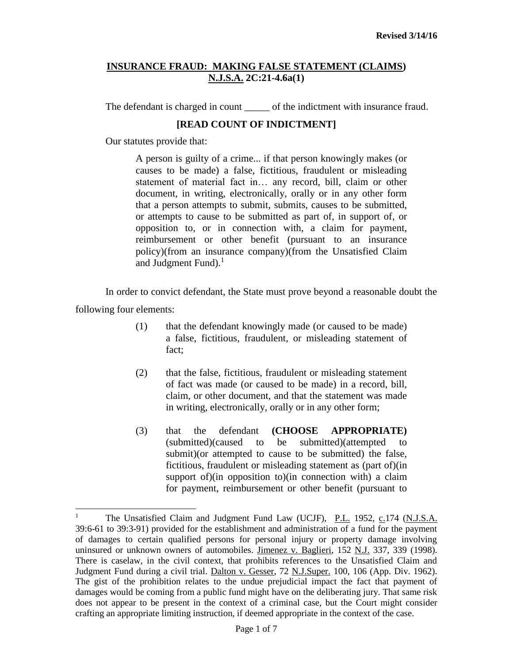The defendant is charged in count of the indictment with insurance fraud.

# **[READ COUNT OF INDICTMENT]**

Our statutes provide that:

A person is guilty of a crime... if that person knowingly makes (or causes to be made) a false, fictitious, fraudulent or misleading statement of material fact in… any record, bill, claim or other document, in writing, electronically, orally or in any other form that a person attempts to submit, submits, causes to be submitted, or attempts to cause to be submitted as part of, in support of, or opposition to, or in connection with, a claim for payment, reimbursement or other benefit (pursuant to an insurance policy)(from an insurance company)(from the Unsatisfied Claim and Judgment Fund). $<sup>1</sup>$ </sup>

In order to convict defendant, the State must prove beyond a reasonable doubt the following four elements:

- (1) that the defendant knowingly made (or caused to be made) a false, fictitious, fraudulent, or misleading statement of fact;
- (2) that the false, fictitious, fraudulent or misleading statement of fact was made (or caused to be made) in a record, bill, claim, or other document, and that the statement was made in writing, electronically, orally or in any other form;
- (3) that the defendant **(CHOOSE APPROPRIATE)** (submitted)(caused to be submitted)(attempted to submit)(or attempted to cause to be submitted) the false, fictitious, fraudulent or misleading statement as (part of)(in support of)(in opposition to)(in connection with) a claim for payment, reimbursement or other benefit (pursuant to

 $\mathbf{1}$ The Unsatisfied Claim and Judgment Fund Law (UCJF), P.L. 1952, c.174 (N.J.S.A. 39:6-61 to 39:3-91) provided for the establishment and administration of a fund for the payment of damages to certain qualified persons for personal injury or property damage involving uninsured or unknown owners of automobiles. Jimenez v. Baglieri, 152 N.J. 337, 339 (1998). There is caselaw, in the civil context, that prohibits references to the Unsatisfied Claim and Judgment Fund during a civil trial. Dalton v. Gesser, 72 N.J.Super. 100, 106 (App. Div. 1962). The gist of the prohibition relates to the undue prejudicial impact the fact that payment of damages would be coming from a public fund might have on the deliberating jury. That same risk does not appear to be present in the context of a criminal case, but the Court might consider crafting an appropriate limiting instruction, if deemed appropriate in the context of the case.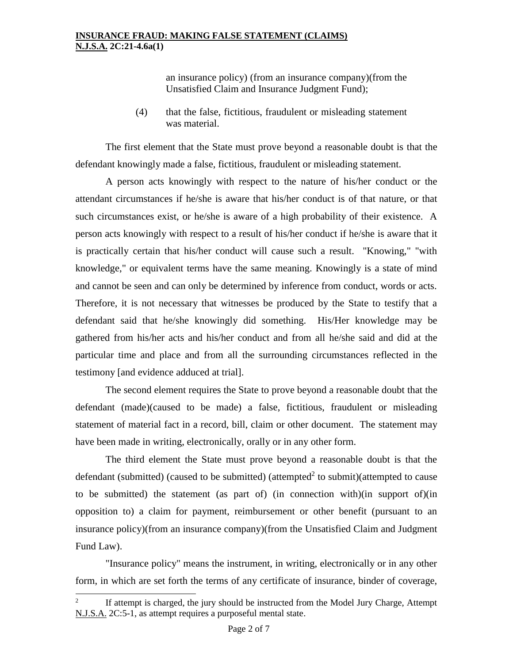an insurance policy) (from an insurance company)(from the Unsatisfied Claim and Insurance Judgment Fund);

(4) that the false, fictitious, fraudulent or misleading statement was material.

The first element that the State must prove beyond a reasonable doubt is that the defendant knowingly made a false, fictitious, fraudulent or misleading statement.

A person acts knowingly with respect to the nature of his/her conduct or the attendant circumstances if he/she is aware that his/her conduct is of that nature, or that such circumstances exist, or he/she is aware of a high probability of their existence. A person acts knowingly with respect to a result of his/her conduct if he/she is aware that it is practically certain that his/her conduct will cause such a result. "Knowing," "with knowledge," or equivalent terms have the same meaning. Knowingly is a state of mind and cannot be seen and can only be determined by inference from conduct, words or acts. Therefore, it is not necessary that witnesses be produced by the State to testify that a defendant said that he/she knowingly did something. His/Her knowledge may be gathered from his/her acts and his/her conduct and from all he/she said and did at the particular time and place and from all the surrounding circumstances reflected in the testimony [and evidence adduced at trial].

The second element requires the State to prove beyond a reasonable doubt that the defendant (made)(caused to be made) a false, fictitious, fraudulent or misleading statement of material fact in a record, bill, claim or other document. The statement may have been made in writing, electronically, orally or in any other form.

The third element the State must prove beyond a reasonable doubt is that the defendant (submitted) (caused to be submitted) (attempted<sup>2</sup> to submit)(attempted to cause to be submitted) the statement (as part of) (in connection with)(in support of)(in opposition to) a claim for payment, reimbursement or other benefit (pursuant to an insurance policy)(from an insurance company)(from the Unsatisfied Claim and Judgment Fund Law).

"Insurance policy" means the instrument, in writing, electronically or in any other form, in which are set forth the terms of any certificate of insurance, binder of coverage,

 $\frac{1}{2}$ If attempt is charged, the jury should be instructed from the Model Jury Charge, Attempt N.J.S.A. 2C:5-1, as attempt requires a purposeful mental state.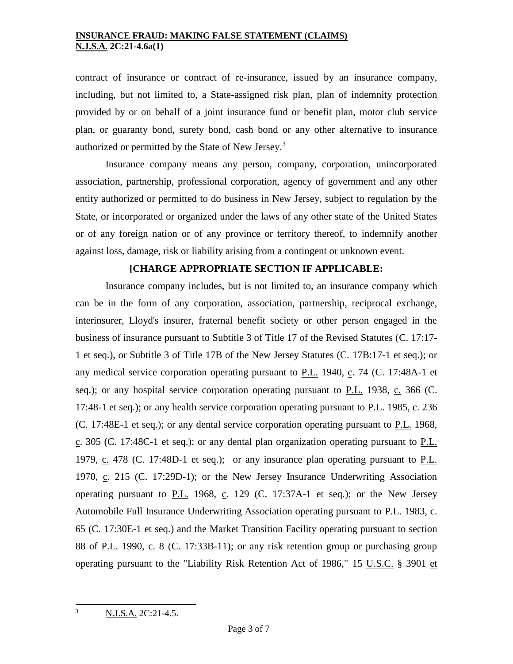contract of insurance or contract of re-insurance, issued by an insurance company, including, but not limited to, a State-assigned risk plan, plan of indemnity protection provided by or on behalf of a joint insurance fund or benefit plan, motor club service plan, or guaranty bond, surety bond, cash bond or any other alternative to insurance authorized or permitted by the State of New Jersey.<sup>3</sup>

Insurance company means any person, company, corporation, unincorporated association, partnership, professional corporation, agency of government and any other entity authorized or permitted to do business in New Jersey, subject to regulation by the State, or incorporated or organized under the laws of any other state of the United States or of any foreign nation or of any province or territory thereof, to indemnify another against loss, damage, risk or liability arising from a contingent or unknown event.

## **[CHARGE APPROPRIATE SECTION IF APPLICABLE:**

Insurance company includes, but is not limited to, an insurance company which can be in the form of any corporation, association, partnership, reciprocal exchange, interinsurer, Lloyd's insurer, fraternal benefit society or other person engaged in the business of insurance pursuant to Subtitle 3 of Title 17 of the Revised Statutes (C. 17:17- 1 et seq.), or Subtitle 3 of Title 17B of the New Jersey Statutes (C. 17B:17-1 et seq.); or any medical service corporation operating pursuant to  $P.L.$  1940, c. 74 (C. 17:48A-1 et [seq.\)](http://web2.westlaw.com/find/default.wl?rp=%2ffind%2fdefault.wl&vc=0&DB=1000045&DocName=NJST17%3A48A%2D1&FindType=L&AP=&fn=_top&rs=WLW8.02&mt=Westlaw&vr=2.0&sv=Split); or any hospital service corporation operating pursuant to  $P.L.$  1938, c. 366 [\(C.](http://web2.westlaw.com/find/default.wl?rp=%2ffind%2fdefault.wl&vc=0&DB=1000045&DocName=NJST17%3A48%2D1&FindType=L&AP=&fn=_top&rs=WLW8.02&mt=Westlaw&vr=2.0&sv=Split) [17:48-1 et seq.\)](http://web2.westlaw.com/find/default.wl?rp=%2ffind%2fdefault.wl&vc=0&DB=1000045&DocName=NJST17%3A48%2D1&FindType=L&AP=&fn=_top&rs=WLW8.02&mt=Westlaw&vr=2.0&sv=Split); or any health service corporation operating pursuant to  $P.L.$  1985, c. 236 (C. [17:48E-1 et seq.\)](http://web2.westlaw.com/find/default.wl?rp=%2ffind%2fdefault.wl&vc=0&DB=1000045&DocName=NJST17%3A48E%2D1&FindType=L&AP=&fn=_top&rs=WLW8.02&mt=Westlaw&vr=2.0&sv=Split); or any dental service corporation operating pursuant to P.L. 1968, c. 305 (C. [17:48C-1 et seq.\)](http://web2.westlaw.com/find/default.wl?rp=%2ffind%2fdefault.wl&vc=0&DB=1000045&DocName=NJST17%3A48C%2D1&FindType=L&AP=&fn=_top&rs=WLW8.02&mt=Westlaw&vr=2.0&sv=Split); or any dental plan organization operating pursuant to P.L. 1979, c. 478 (C. [17:48D-1 et seq.\)](http://web2.westlaw.com/find/default.wl?rp=%2ffind%2fdefault.wl&vc=0&DB=1000045&DocName=NJST17%3A48D%2D1&FindType=L&AP=&fn=_top&rs=WLW8.02&mt=Westlaw&vr=2.0&sv=Split); or any insurance plan operating pursuant to P.L. 1970, c. 215 (C. [17:29D-1\)](http://web2.westlaw.com/find/default.wl?rp=%2ffind%2fdefault.wl&vc=0&DB=1000045&DocName=NJST17%3A29D%2D1&FindType=L&AP=&fn=_top&rs=WLW8.02&mt=Westlaw&vr=2.0&sv=Split); or the New Jersey Insurance Underwriting Association operating pursuant to  $P.L.$  1968, c. 129 (C. [17:37A-1 et seq.\)](http://web2.westlaw.com/find/default.wl?rp=%2ffind%2fdefault.wl&vc=0&DB=1000045&DocName=NJST17%3A37A%2D1&FindType=L&AP=&fn=_top&rs=WLW8.02&mt=Westlaw&vr=2.0&sv=Split); or the New Jersey Automobile Full Insurance Underwriting Association operating pursuant to P.L. 1983, c. 65 (C. [17:30E-1 et seq.\)](http://web2.westlaw.com/find/default.wl?rp=%2ffind%2fdefault.wl&vc=0&DB=1000045&DocName=NJST17%3A30E%2D1&FindType=L&AP=&fn=_top&rs=WLW8.02&mt=Westlaw&vr=2.0&sv=Split) and the Market Transition Facility operating pursuant to section 88 of P.L. [1990, c.](http://web2.westlaw.com/find/default.wl?rp=%2ffind%2fdefault.wl&vc=0&DB=1077005&DocName=UU%28IE13A31691C%2DF04761B30B0%2D4F6EBC025C9%29&FindType=l&AP=&fn=_top&rs=WLW8.02&mt=Westlaw&vr=2.0&sv=Split) 8 (C. [17:33B-11\)](http://web2.westlaw.com/find/default.wl?rp=%2ffind%2fdefault.wl&vc=0&DB=1000045&DocName=NJST17%3A33B%2D11&FindType=L&AP=&fn=_top&rs=WLW8.02&mt=Westlaw&vr=2.0&sv=Split); or any risk retention group or purchasing group operating pursuant to the "Liability Risk Retention Act of 1986," [15 U.S.C.](http://web2.westlaw.com/find/default.wl?rp=%2ffind%2fdefault.wl&vc=0&DB=1000546&DocName=15USCAS3901&FindType=L&AP=&fn=_top&rs=WLW8.02&mt=Westlaw&vr=2.0&sv=Split) § 3901 et

 $\overline{3}$ <sup>3</sup> N.J.S.A. 2C:21-4.5.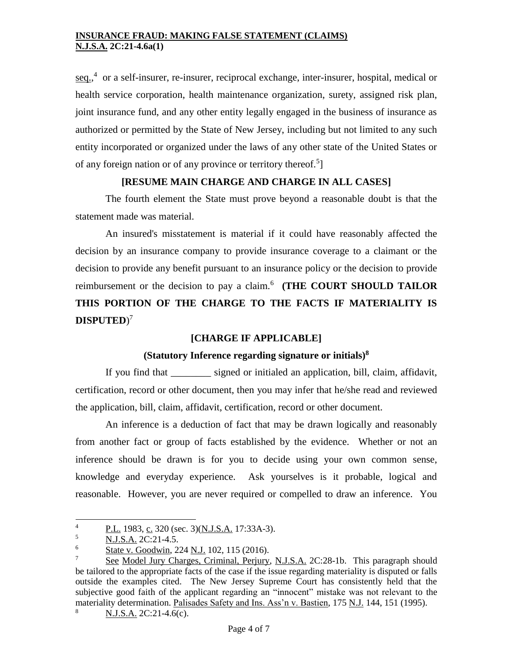[seq.,](http://web2.westlaw.com/find/default.wl?rp=%2ffind%2fdefault.wl&vc=0&DB=1000546&DocName=15USCAS3901&FindType=L&AP=&fn=_top&rs=WLW8.02&mt=Westlaw&vr=2.0&sv=Split)<sup>4</sup> or a self-insurer, re-insurer, reciprocal exchange, inter-insurer, hospital, medical or health service corporation, health maintenance organization, surety, assigned risk plan, joint insurance fund, and any other entity legally engaged in the business of insurance as authorized or permitted by the State of New Jersey, including but not limited to any such entity incorporated or organized under the laws of any other state of the United States or of any foreign nation or of any province or territory thereof.<sup>5</sup>]

## **[RESUME MAIN CHARGE AND CHARGE IN ALL CASES]**

The fourth element the State must prove beyond a reasonable doubt is that the statement made was material.

An insured's misstatement is material if it could have reasonably affected the decision by an insurance company to provide insurance coverage to a claimant or the decision to provide any benefit pursuant to an insurance policy or the decision to provide reimbursement or the decision to pay a claim.<sup>6</sup> (THE COURT SHOULD TAILOR **THIS PORTION OF THE CHARGE TO THE FACTS IF MATERIALITY IS DISPUTED**) 7

## **[CHARGE IF APPLICABLE]**

## **(Statutory Inference regarding signature or initials)<sup>8</sup>**

If you find that \_\_\_\_\_\_\_\_ signed or initialed an application, bill, claim, affidavit, certification, record or other document, then you may infer that he/she read and reviewed the application, bill, claim, affidavit, certification, record or other document.

An inference is a deduction of fact that may be drawn logically and reasonably from another fact or group of facts established by the evidence. Whether or not an inference should be drawn is for you to decide using your own common sense, knowledge and everyday experience. Ask yourselves is it probable, logical and reasonable. However, you are never required or compelled to draw an inference. You

 $\overline{4}$  $\frac{1}{5}$  P.L. 1983, c. 320 (sec. 3)(N.J.S.A. 17:33A-3).

 $\frac{5}{6}$  N.J.S.A. 2C:21-4.5.

 $\frac{6}{7}$  State v. Goodwin, 224 N.J. 102, 115 (2016).

See Model Jury Charges, Criminal, Perjury, N.J.S.A. 2C:28-1b. This paragraph should be tailored to the appropriate facts of the case if the issue regarding materiality is disputed or falls outside the examples cited. The New Jersey Supreme Court has consistently held that the subjective good faith of the applicant regarding an "innocent" mistake was not relevant to the materiality determination. Palisades Safety and Ins. Ass'n v. Bastien, 175 N.J. 144, 151 (1995).

 $8 \text{ N.J.S.A. } 2C:21-4.6(c).$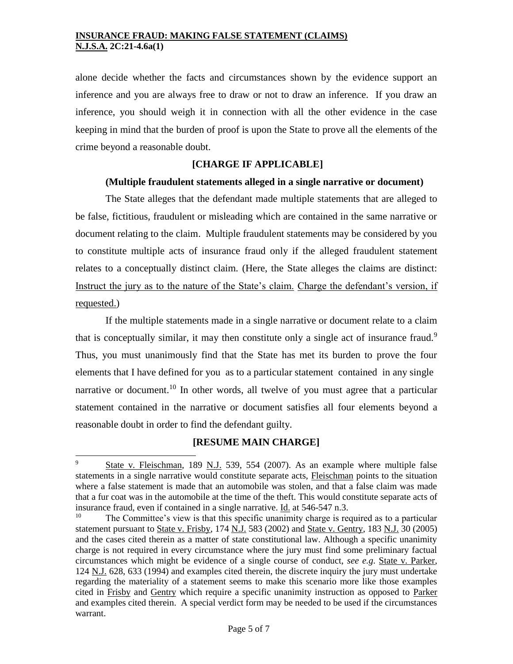alone decide whether the facts and circumstances shown by the evidence support an inference and you are always free to draw or not to draw an inference. If you draw an inference, you should weigh it in connection with all the other evidence in the case keeping in mind that the burden of proof is upon the State to prove all the elements of the crime beyond a reasonable doubt.

## **[CHARGE IF APPLICABLE]**

### **(Multiple fraudulent statements alleged in a single narrative or document)**

The State alleges that the defendant made multiple statements that are alleged to be false, fictitious, fraudulent or misleading which are contained in the same narrative or document relating to the claim. Multiple fraudulent statements may be considered by you to constitute multiple acts of insurance fraud only if the alleged fraudulent statement relates to a conceptually distinct claim. (Here, the State alleges the claims are distinct: Instruct the jury as to the nature of the State's claim. Charge the defendant's version, if requested.)

If the multiple statements made in a single narrative or document relate to a claim that is conceptually similar, it may then constitute only a single act of insurance fraud.<sup>9</sup> Thus, you must unanimously find that the State has met its burden to prove the four elements that I have defined for you as to a particular statement contained in any single narrative or document.<sup>10</sup> In other words, all twelve of you must agree that a particular statement contained in the narrative or document satisfies all four elements beyond a reasonable doubt in order to find the defendant guilty.

## **[RESUME MAIN CHARGE]**

<sup>9</sup> State v. Fleischman, 189 N.J. 539, 554 (2007). As an example where multiple false statements in a single narrative would constitute separate acts, Fleischman points to the situation where a false statement is made that an automobile was stolen, and that a false claim was made that a fur coat was in the automobile at the time of the theft. This would constitute separate acts of insurance fraud, even if contained in a single narrative.  $\underline{Id}$ , at 546-547 n.3.<br><sup>10</sup> The Committee's view is that this specific unanimity charge is required.

The Committee's view is that this specific unanimity charge is required as to a particular statement pursuant to State v. Frisby, 174 N.J. 583 (2002) and State v. Gentry, 183 N.J. 30 (2005) and the cases cited therein as a matter of state constitutional law. Although a specific unanimity charge is not required in every circumstance where the jury must find some preliminary factual circumstances which might be evidence of a single course of conduct, *see e.g*. State v. Parker, 124 N.J. 628, 633 (1994) and examples cited therein, the discrete inquiry the jury must undertake regarding the materiality of a statement seems to make this scenario more like those examples cited in Frisby and Gentry which require a specific unanimity instruction as opposed to Parker and examples cited therein. A special verdict form may be needed to be used if the circumstances warrant.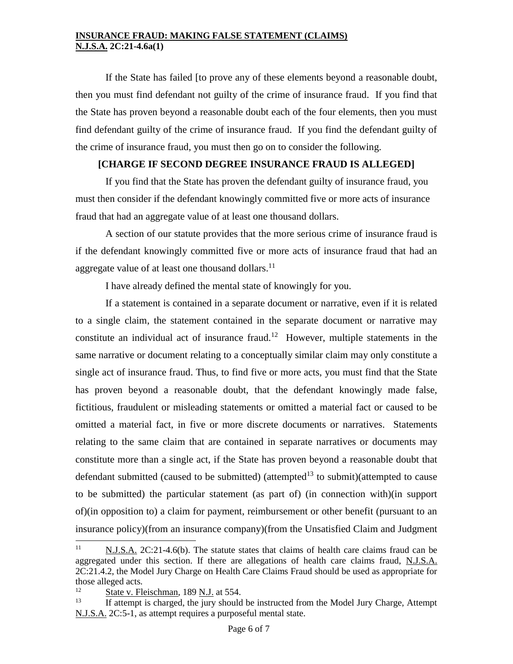If the State has failed [to prove any of these elements beyond a reasonable doubt, then you must find defendant not guilty of the crime of insurance fraud. If you find that the State has proven beyond a reasonable doubt each of the four elements, then you must find defendant guilty of the crime of insurance fraud. If you find the defendant guilty of the crime of insurance fraud, you must then go on to consider the following.

## **[CHARGE IF SECOND DEGREE INSURANCE FRAUD IS ALLEGED]**

If you find that the State has proven the defendant guilty of insurance fraud, you must then consider if the defendant knowingly committed five or more acts of insurance fraud that had an aggregate value of at least one thousand dollars.

A section of our statute provides that the more serious crime of insurance fraud is if the defendant knowingly committed five or more acts of insurance fraud that had an aggregate value of at least one thousand dollars. $^{11}$ 

I have already defined the mental state of knowingly for you.

If a statement is contained in a separate document or narrative, even if it is related to a single claim, the statement contained in the separate document or narrative may constitute an individual act of insurance fraud.<sup>12</sup> However, multiple statements in the same narrative or document relating to a conceptually similar claim may only constitute a single act of insurance fraud. Thus, to find five or more acts, you must find that the State has proven beyond a reasonable doubt, that the defendant knowingly made false, fictitious, fraudulent or misleading statements or omitted a material fact or caused to be omitted a material fact, in five or more discrete documents or narratives. Statements relating to the same claim that are contained in separate narratives or documents may constitute more than a single act, if the State has proven beyond a reasonable doubt that defendant submitted (caused to be submitted) (attempted<sup>13</sup> to submit)(attempted to cause to be submitted) the particular statement (as part of) (in connection with)(in support of)(in opposition to) a claim for payment, reimbursement or other benefit (pursuant to an insurance policy)(from an insurance company)(from the Unsatisfied Claim and Judgment

 $11$ <sup>11</sup> N.J.S.A. 2C:21-4.6(b). The statute states that claims of health care claims fraud can be aggregated under this section. If there are allegations of health care claims fraud, N.J.S.A. 2C:21.4.2, the Model Jury Charge on Health Care Claims Fraud should be used as appropriate for those alleged acts.

 $\frac{12}{13}$  State v. Fleischman, 189 <u>N.J.</u> at 554.

If attempt is charged, the jury should be instructed from the Model Jury Charge, Attempt N.J.S.A. 2C:5-1, as attempt requires a purposeful mental state.